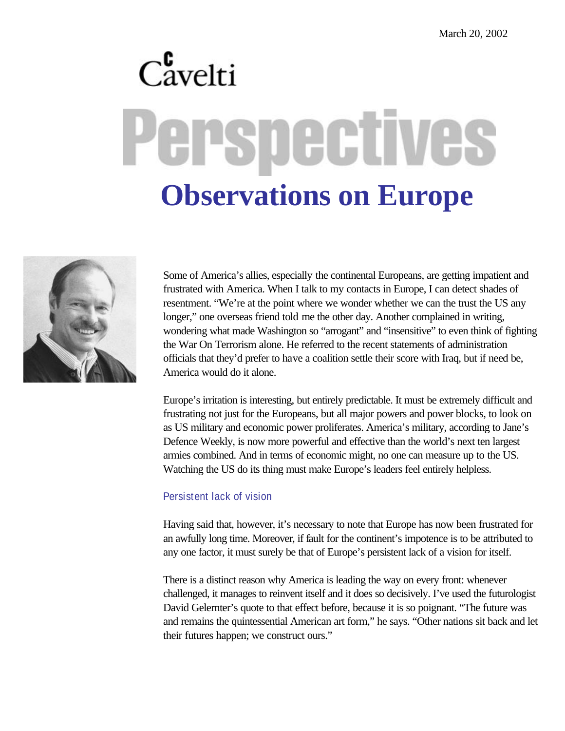# $C_{\text{avelti}}^{\text{c}}$ erspectives **Observations on Europe**



Some of America's allies, especially the continental Europeans, are getting impatient and frustrated with America. When I talk to my contacts in Europe, I can detect shades of resentment. "We're at the point where we wonder whether we can the trust the US any longer," one overseas friend told me the other day. Another complained in writing, wondering what made Washington so "arrogant" and "insensitive" to even think of fighting the War On Terrorism alone. He referred to the recent statements of administration officials that they'd prefer to have a coalition settle their score with Iraq, but if need be, America would do it alone.

Europe's irritation is interesting, but entirely predictable. It must be extremely difficult and frustrating not just for the Europeans, but all major powers and power blocks, to look on as US military and economic power proliferates. America's military, according to Jane's Defence Weekly, is now more powerful and effective than the world's next ten largest armies combined. And in terms of economic might, no one can measure up to the US. Watching the US do its thing must make Europe's leaders feel entirely helpless.

# Persistent lack of vision

Having said that, however, it's necessary to note that Europe has now been frustrated for an awfully long time. Moreover, if fault for the continent's impotence is to be attributed to any one factor, it must surely be that of Europe's persistent lack of a vision for itself.

There is a distinct reason why America is leading the way on every front: whenever challenged, it manages to reinvent itself and it does so decisively. I've used the futurologist David Gelernter's quote to that effect before, because it is so poignant. "The future was and remains the quintessential American art form," he says. "Other nations sit back and let their futures happen; we construct ours."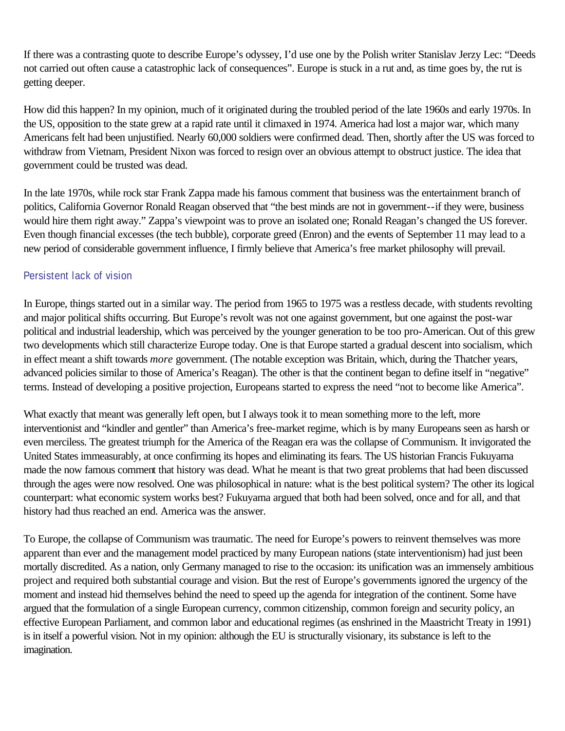If there was a contrasting quote to describe Europe's odyssey, I'd use one by the Polish writer Stanislav Jerzy Lec: "Deeds not carried out often cause a catastrophic lack of consequences". Europe is stuck in a rut and, as time goes by, the rut is getting deeper.

How did this happen? In my opinion, much of it originated during the troubled period of the late 1960s and early 1970s. In the US, opposition to the state grew at a rapid rate until it climaxed in 1974. America had lost a major war, which many Americans felt had been unjustified. Nearly 60,000 soldiers were confirmed dead. Then, shortly after the US was forced to withdraw from Vietnam, President Nixon was forced to resign over an obvious attempt to obstruct justice. The idea that government could be trusted was dead.

In the late 1970s, while rock star Frank Zappa made his famous comment that business was the entertainment branch of politics, California Governor Ronald Reagan observed that "the best minds are not in government--if they were, business would hire them right away." Zappa's viewpoint was to prove an isolated one; Ronald Reagan's changed the US forever. Even though financial excesses (the tech bubble), corporate greed (Enron) and the events of September 11 may lead to a new period of considerable government influence, I firmly believe that America's free market philosophy will prevail.

# Persistent lack of vision

In Europe, things started out in a similar way. The period from 1965 to 1975 was a restless decade, with students revolting and major political shifts occurring. But Europe's revolt was not one against government, but one against the post-war political and industrial leadership, which was perceived by the younger generation to be too pro-American. Out of this grew two developments which still characterize Europe today. One is that Europe started a gradual descent into socialism, which in effect meant a shift towards *more* government. (The notable exception was Britain, which, during the Thatcher years, advanced policies similar to those of America's Reagan). The other is that the continent began to define itself in "negative" terms. Instead of developing a positive projection, Europeans started to express the need "not to become like America".

What exactly that meant was generally left open, but I always took it to mean something more to the left, more interventionist and "kindler and gentler" than America's free-market regime, which is by many Europeans seen as harsh or even merciless. The greatest triumph for the America of the Reagan era was the collapse of Communism. It invigorated the United States immeasurably, at once confirming its hopes and eliminating its fears. The US historian Francis Fukuyama made the now famous comment that history was dead. What he meant is that two great problems that had been discussed through the ages were now resolved. One was philosophical in nature: what is the best political system? The other its logical counterpart: what economic system works best? Fukuyama argued that both had been solved, once and for all, and that history had thus reached an end. America was the answer.

To Europe, the collapse of Communism was traumatic. The need for Europe's powers to reinvent themselves was more apparent than ever and the management model practiced by many European nations (state interventionism) had just been mortally discredited. As a nation, only Germany managed to rise to the occasion: its unification was an immensely ambitious project and required both substantial courage and vision. But the rest of Europe's governments ignored the urgency of the moment and instead hid themselves behind the need to speed up the agenda for integration of the continent. Some have argued that the formulation of a single European currency, common citizenship, common foreign and security policy, an effective European Parliament, and common labor and educational regimes (as enshrined in the Maastricht Treaty in 1991) is in itself a powerful vision. Not in my opinion: although the EU is structurally visionary, its substance is left to the imagination.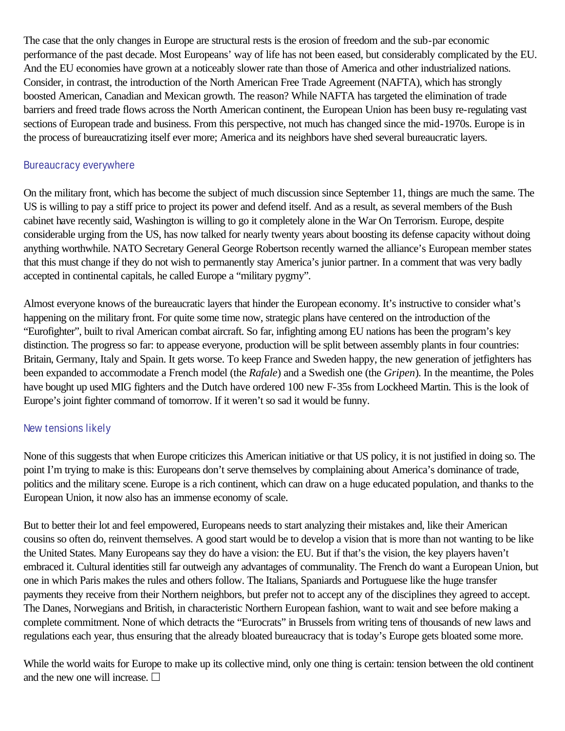The case that the only changes in Europe are structural rests is the erosion of freedom and the sub-par economic performance of the past decade. Most Europeans' way of life has not been eased, but considerably complicated by the EU. And the EU economies have grown at a noticeably slower rate than those of America and other industrialized nations. Consider, in contrast, the introduction of the North American Free Trade Agreement (NAFTA), which has strongly boosted American, Canadian and Mexican growth. The reason? While NAFTA has targeted the elimination of trade barriers and freed trade flows across the North American continent, the European Union has been busy re-regulating vast sections of European trade and business. From this perspective, not much has changed since the mid-1970s. Europe is in the process of bureaucratizing itself ever more; America and its neighbors have shed several bureaucratic layers.

# Bureaucracy everywhere

On the military front, which has become the subject of much discussion since September 11, things are much the same. The US is willing to pay a stiff price to project its power and defend itself. And as a result, as several members of the Bush cabinet have recently said, Washington is willing to go it completely alone in the War On Terrorism. Europe, despite considerable urging from the US, has now talked for nearly twenty years about boosting its defense capacity without doing anything worthwhile. NATO Secretary General George Robertson recently warned the alliance's European member states that this must change if they do not wish to permanently stay America's junior partner. In a comment that was very badly accepted in continental capitals, he called Europe a "military pygmy".

Almost everyone knows of the bureaucratic layers that hinder the European economy. It's instructive to consider what's happening on the military front. For quite some time now, strategic plans have centered on the introduction of the "Eurofighter", built to rival American combat aircraft. So far, infighting among EU nations has been the program's key distinction. The progress so far: to appease everyone, production will be split between assembly plants in four countries: Britain, Germany, Italy and Spain. It gets worse. To keep France and Sweden happy, the new generation of jetfighters has been expanded to accommodate a French model (the *Rafale*) and a Swedish one (the *Gripen*). In the meantime, the Poles have bought up used MIG fighters and the Dutch have ordered 100 new F-35s from Lockheed Martin. This is the look of Europe's joint fighter command of tomorrow. If it weren't so sad it would be funny.

# New tensions likely

None of this suggests that when Europe criticizes this American initiative or that US policy, it is not justified in doing so. The point I'm trying to make is this: Europeans don't serve themselves by complaining about America's dominance of trade, politics and the military scene. Europe is a rich continent, which can draw on a huge educated population, and thanks to the European Union, it now also has an immense economy of scale.

But to better their lot and feel empowered, Europeans needs to start analyzing their mistakes and, like their American cousins so often do, reinvent themselves. A good start would be to develop a vision that is more than not wanting to be like the United States. Many Europeans say they do have a vision: the EU. But if that's the vision, the key players haven't embraced it. Cultural identities still far outweigh any advantages of communality. The French do want a European Union, but one in which Paris makes the rules and others follow. The Italians, Spaniards and Portuguese like the huge transfer payments they receive from their Northern neighbors, but prefer not to accept any of the disciplines they agreed to accept. The Danes, Norwegians and British, in characteristic Northern European fashion, want to wait and see before making a complete commitment. None of which detracts the "Eurocrats" in Brussels from writing tens of thousands of new laws and regulations each year, thus ensuring that the already bloated bureaucracy that is today's Europe gets bloated some more.

While the world waits for Europe to make up its collective mind, only one thing is certain: tension between the old continent and the new one will increase.  $\Box$